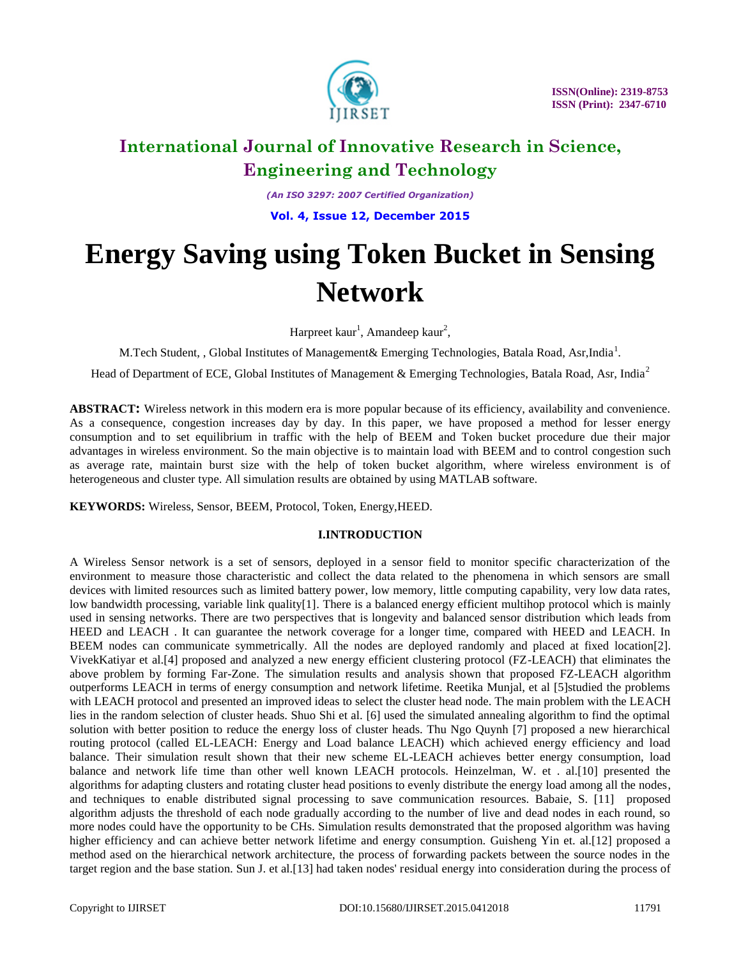

*(An ISO 3297: 2007 Certified Organization)*

**Vol. 4, Issue 12, December 2015**

# **Energy Saving using Token Bucket in Sensing Network**

Harpreet kaur<sup>1</sup>, Amandeep kaur<sup>2</sup>,

M. Tech Student, , Global Institutes of Management & Emerging Technologies, Batala Road, Asr, India<sup>1</sup>.

Head of Department of ECE, Global Institutes of Management & Emerging Technologies, Batala Road, Asr, India<sup>2</sup>

**ABSTRACT:** Wireless network in this modern era is more popular because of its efficiency, availability and convenience. As a consequence, congestion increases day by day. In this paper, we have proposed a method for lesser energy consumption and to set equilibrium in traffic with the help of BEEM and Token bucket procedure due their major advantages in wireless environment. So the main objective is to maintain load with BEEM and to control congestion such as average rate, maintain burst size with the help of token bucket algorithm, where wireless environment is of heterogeneous and cluster type. All simulation results are obtained by using MATLAB software.

**KEYWORDS:** Wireless, Sensor, BEEM, Protocol, Token, Energy,HEED.

### **I.INTRODUCTION**

A Wireless Sensor network is a set of sensors, deployed in a sensor field to monitor specific characterization of the environment to measure those characteristic and collect the data related to the phenomena in which sensors are small devices with limited resources such as limited battery power, low memory, little computing capability, very low data rates, low bandwidth processing, variable link quality[1]. There is a balanced energy efficient multihop protocol which is mainly used in sensing networks. There are two perspectives that is longevity and balanced sensor distribution which leads from HEED and LEACH . It can guarantee the network coverage for a longer time, compared with HEED and LEACH. In BEEM nodes can communicate symmetrically. All the nodes are deployed randomly and placed at fixed location[2]. VivekKatiyar et al.[4] proposed and analyzed a new energy efficient clustering protocol (FZ-LEACH) that eliminates the above problem by forming Far-Zone. The simulation results and analysis shown that proposed FZ-LEACH algorithm outperforms LEACH in terms of energy consumption and network lifetime. Reetika Munjal, et al [5]studied the problems with LEACH protocol and presented an improved ideas to select the cluster head node. The main problem with the LEACH lies in the random selection of cluster heads. Shuo Shi et al. [6] used the simulated annealing algorithm to find the optimal solution with better position to reduce the energy loss of cluster heads. Thu Ngo Quynh [7] proposed a new hierarchical routing protocol (called EL-LEACH: Energy and Load balance LEACH) which achieved energy efficiency and load balance. Their simulation result shown that their new scheme EL-LEACH achieves better energy consumption, load balance and network life time than other well known LEACH protocols. Heinzelman, W. et . al.[10] presented the algorithms for adapting clusters and rotating cluster head positions to evenly distribute the energy load among all the nodes, and techniques to enable distributed signal processing to save communication resources. [Babaie, S.](http://ieeexplore.ieee.org/search/searchresult.jsp?searchWithin=p_Authors:.QT.Babaie,%20S..QT.&searchWithin=p_Author_Ids:37546077500&newsearch=true) [11] proposed algorithm adjusts the threshold of each node gradually according to the number of live and dead nodes in each round, so more nodes could have the opportunity to be CHs. Simulation results demonstrated that the proposed algorithm was having higher efficiency and can achieve better network lifetime and energy consumption. Guisheng Yin et. al.[12] proposed a method ased on the hierarchical network architecture, the process of forwarding packets between the source nodes in the target region and the base station. Sun J. et al.[13] had taken nodes' residual energy into consideration during the process of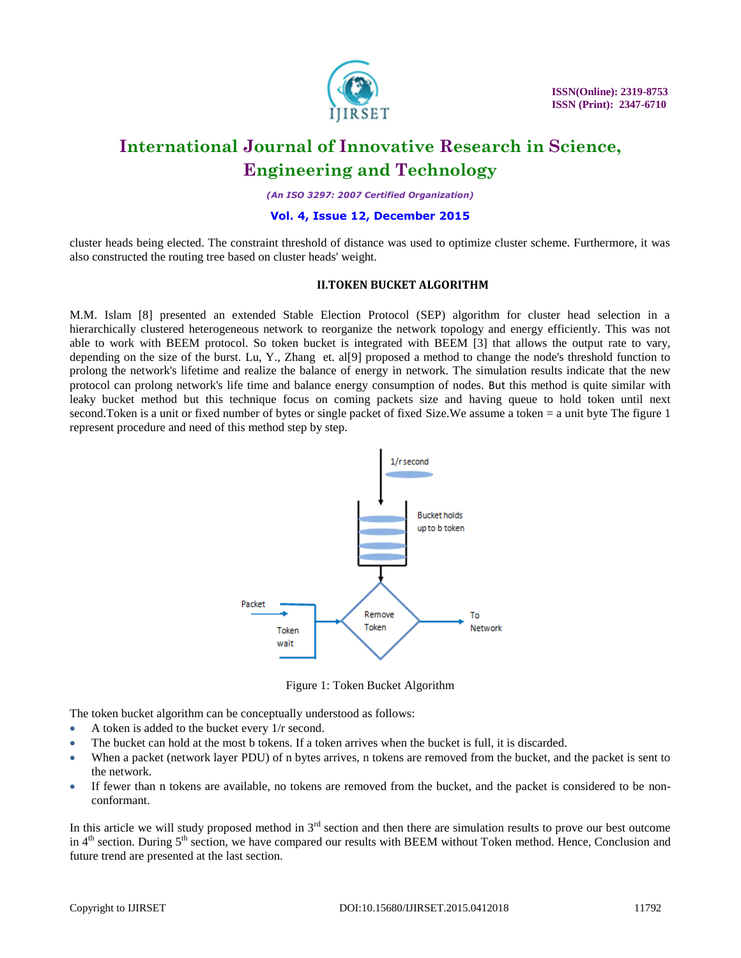

*(An ISO 3297: 2007 Certified Organization)*

### **Vol. 4, Issue 12, December 2015**

cluster heads being elected. The constraint threshold of distance was used to optimize cluster scheme. Furthermore, it was also constructed the routing tree based on cluster heads' weight.

### **II.TOKEN BUCKET ALGORITHM**

M.M. Islam [8] presented an extended Stable Election Protocol (SEP) algorithm for cluster head selection in a hierarchically clustered heterogeneous network to reorganize the network topology and energy efficiently. This was not able to work with BEEM protocol. So token bucket is integrated with BEEM [3] that allows the output rate to vary, depending on the size of the burst. Lu, Y., Zhang et. al[9] proposed a method to change the node's threshold function to prolong the network's lifetime and realize the balance of energy in network. The simulation results indicate that the new protocol can prolong network's life time and balance energy consumption of nodes. But this method is quite similar with leaky bucket method but this technique focus on coming packets size and having queue to hold token until next second.Token is a unit or fixed number of bytes or single packet of fixed Size.We assume a token = a unit byte The figure 1 represent procedure and need of this method step by step.



Figure 1: Token Bucket Algorithm

The token bucket algorithm can be conceptually understood as follows:

- A token is added to the bucket every  $1/r$  second.
- The bucket can hold at the most b tokens. If a token arrives when the bucket is full, it is discarded.
- When a packet (network layer [PDU\)](https://en.wikipedia.org/wiki/Protocol_data_unit) of n bytes arrives, n tokens are removed from the bucket, and the packet is sent to the network.
- If fewer than n tokens are available, no tokens are removed from the bucket, and the packet is considered to be nonconformant.

In this article we will study proposed method in  $3<sup>rd</sup>$  section and then there are simulation results to prove our best outcome in  $4<sup>th</sup>$  section. During  $5<sup>th</sup>$  section, we have compared our results with BEEM without Token method. Hence, Conclusion and future trend are presented at the last section.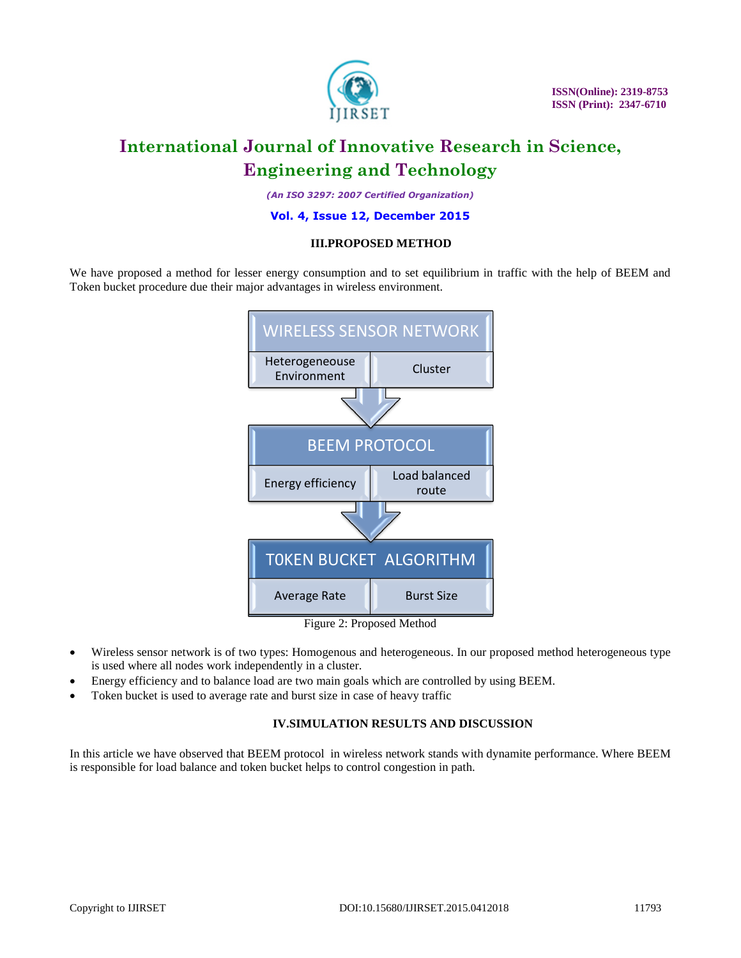

*(An ISO 3297: 2007 Certified Organization)*

### **Vol. 4, Issue 12, December 2015**

### **III.PROPOSED METHOD**

We have proposed a method for lesser energy consumption and to set equilibrium in traffic with the help of BEEM and Token bucket procedure due their major advantages in wireless environment.



Figure 2: Proposed Method

- Wireless sensor network is of two types: Homogenous and heterogeneous. In our proposed method heterogeneous type is used where all nodes work independently in a cluster.
- Energy efficiency and to balance load are two main goals which are controlled by using BEEM.
- Token bucket is used to average rate and burst size in case of heavy traffic

### **IV.SIMULATION RESULTS AND DISCUSSION**

In this article we have observed that BEEM protocol in wireless network stands with dynamite performance. Where BEEM is responsible for load balance and token bucket helps to control congestion in path.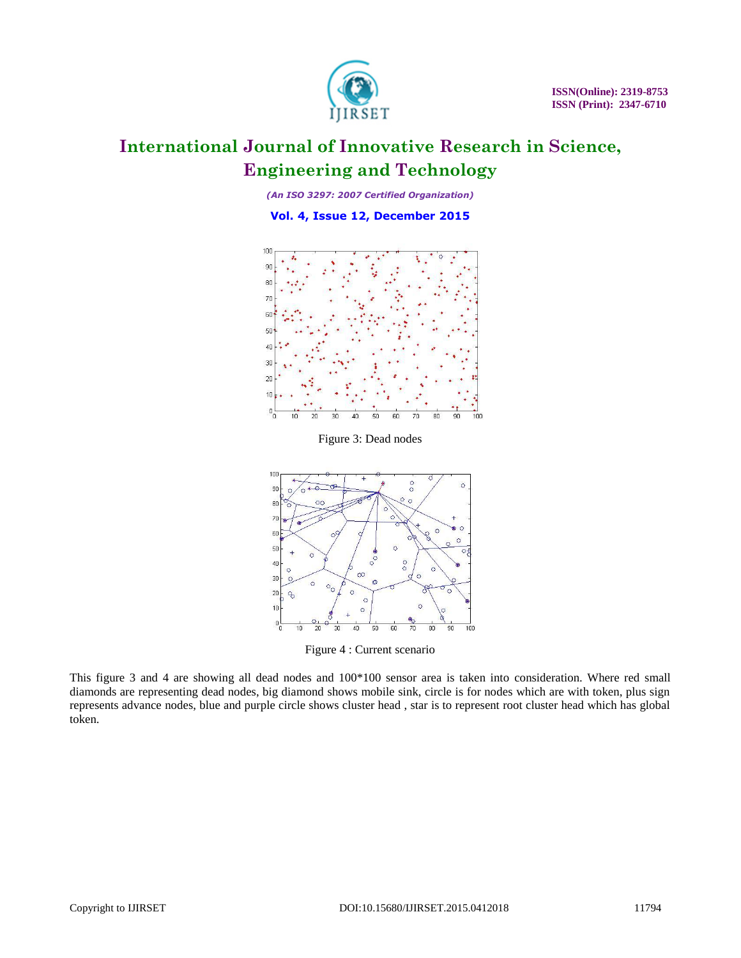

*(An ISO 3297: 2007 Certified Organization)*

**Vol. 4, Issue 12, December 2015**



Figure 3: Dead nodes



Figure 4 : Current scenario

This figure 3 and 4 are showing all dead nodes and 100\*100 sensor area is taken into consideration. Where red small diamonds are representing dead nodes, big diamond shows mobile sink, circle is for nodes which are with token, plus sign represents advance nodes, blue and purple circle shows cluster head , star is to represent root cluster head which has global token.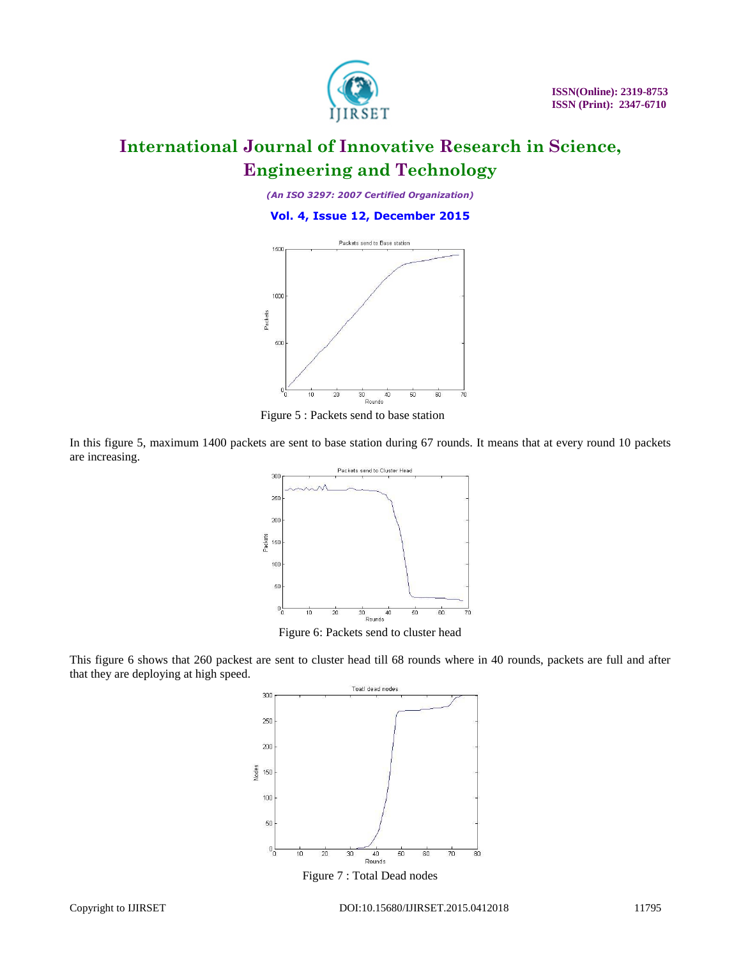

*(An ISO 3297: 2007 Certified Organization)*

**Vol. 4, Issue 12, December 2015**



Figure 5 : Packets send to base station

In this figure 5, maximum 1400 packets are sent to base station during 67 rounds. It means that at every round 10 packets are increasing.



This figure 6 shows that 260 packest are sent to cluster head till 68 rounds where in 40 rounds, packets are full and after that they are deploying at high speed.



Figure 7 : Total Dead nodes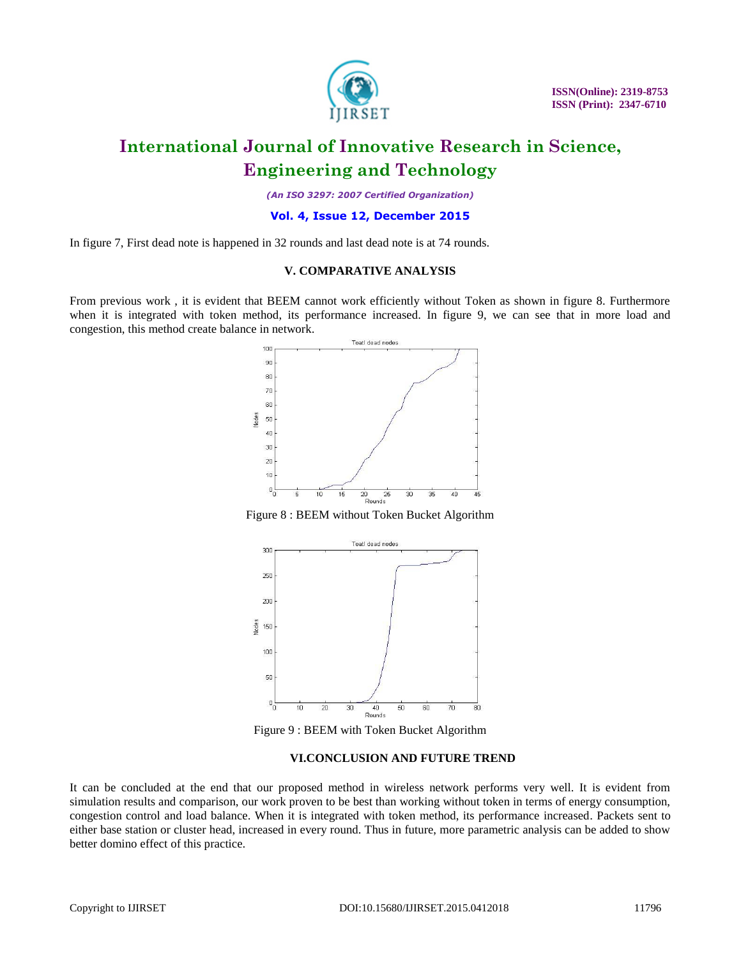

*(An ISO 3297: 2007 Certified Organization)*

### **Vol. 4, Issue 12, December 2015**

In figure 7, First dead note is happened in 32 rounds and last dead note is at 74 rounds.

### **V. COMPARATIVE ANALYSIS**

From previous work , it is evident that BEEM cannot work efficiently without Token as shown in figure 8. Furthermore when it is integrated with token method, its performance increased. In figure 9, we can see that in more load and congestion, this method create balance in network.



Figure 8 : BEEM without Token Bucket Algorithm



Figure 9 : BEEM with Token Bucket Algorithm

### **VI.CONCLUSION AND FUTURE TREND**

It can be concluded at the end that our proposed method in wireless network performs very well. It is evident from simulation results and comparison, our work proven to be best than working without token in terms of energy consumption, congestion control and load balance. When it is integrated with token method, its performance increased. Packets sent to either base station or cluster head, increased in every round. Thus in future, more parametric analysis can be added to show better domino effect of this practice.